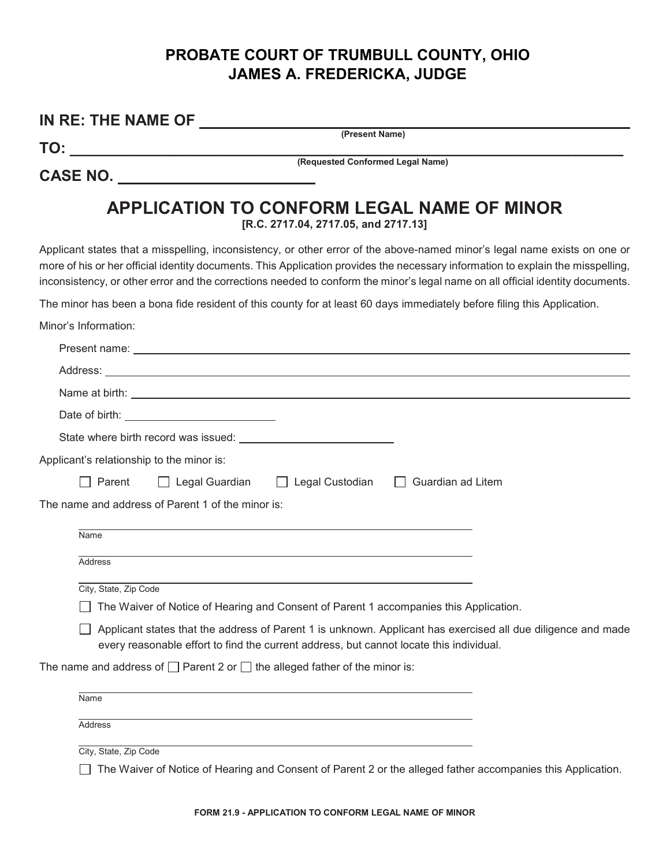## **PROBATE COURT OF TRUMBULL COUNTY, OHIO JAMES A. FREDERICKA, JUDGE**

|                       | IN RE: THE NAME OF                                                                                                                                                                                                                                                                                                                                                                             |
|-----------------------|------------------------------------------------------------------------------------------------------------------------------------------------------------------------------------------------------------------------------------------------------------------------------------------------------------------------------------------------------------------------------------------------|
|                       | (Present Name)<br><b>TO:</b>                                                                                                                                                                                                                                                                                                                                                                   |
|                       | (Requested Conformed Legal Name)<br>CASE NO. ________________________                                                                                                                                                                                                                                                                                                                          |
|                       | <b>APPLICATION TO CONFORM LEGAL NAME OF MINOR</b><br>[R.C. 2717.04, 2717.05, and 2717.13]                                                                                                                                                                                                                                                                                                      |
|                       | Applicant states that a misspelling, inconsistency, or other error of the above-named minor's legal name exists on one or<br>more of his or her official identity documents. This Application provides the necessary information to explain the misspelling,<br>inconsistency, or other error and the corrections needed to conform the minor's legal name on all official identity documents. |
|                       | The minor has been a bona fide resident of this county for at least 60 days immediately before filing this Application.                                                                                                                                                                                                                                                                        |
| Minor's Information:  |                                                                                                                                                                                                                                                                                                                                                                                                |
|                       |                                                                                                                                                                                                                                                                                                                                                                                                |
|                       |                                                                                                                                                                                                                                                                                                                                                                                                |
|                       |                                                                                                                                                                                                                                                                                                                                                                                                |
|                       |                                                                                                                                                                                                                                                                                                                                                                                                |
|                       |                                                                                                                                                                                                                                                                                                                                                                                                |
|                       | Applicant's relationship to the minor is:                                                                                                                                                                                                                                                                                                                                                      |
| Parent                | $\Box$ Legal Guardian<br>$\Box$ Legal Custodian<br>Guardian ad Litem                                                                                                                                                                                                                                                                                                                           |
|                       | The name and address of Parent 1 of the minor is:                                                                                                                                                                                                                                                                                                                                              |
| Name                  |                                                                                                                                                                                                                                                                                                                                                                                                |
| <b>Address</b>        |                                                                                                                                                                                                                                                                                                                                                                                                |
| City, State, Zip Code |                                                                                                                                                                                                                                                                                                                                                                                                |
|                       | The Waiver of Notice of Hearing and Consent of Parent 1 accompanies this Application.                                                                                                                                                                                                                                                                                                          |
|                       | Applicant states that the address of Parent 1 is unknown. Applicant has exercised all due diligence and made<br>every reasonable effort to find the current address, but cannot locate this individual.                                                                                                                                                                                        |
|                       | The name and address of $\Box$ Parent 2 or $\Box$ the alleged father of the minor is:                                                                                                                                                                                                                                                                                                          |
| Name                  |                                                                                                                                                                                                                                                                                                                                                                                                |
| Address               |                                                                                                                                                                                                                                                                                                                                                                                                |
| City, State, Zip Code |                                                                                                                                                                                                                                                                                                                                                                                                |
|                       | The Waiver of Notice of Hearing and Consent of Parent 2 or the alleged father accompanies this Application.                                                                                                                                                                                                                                                                                    |